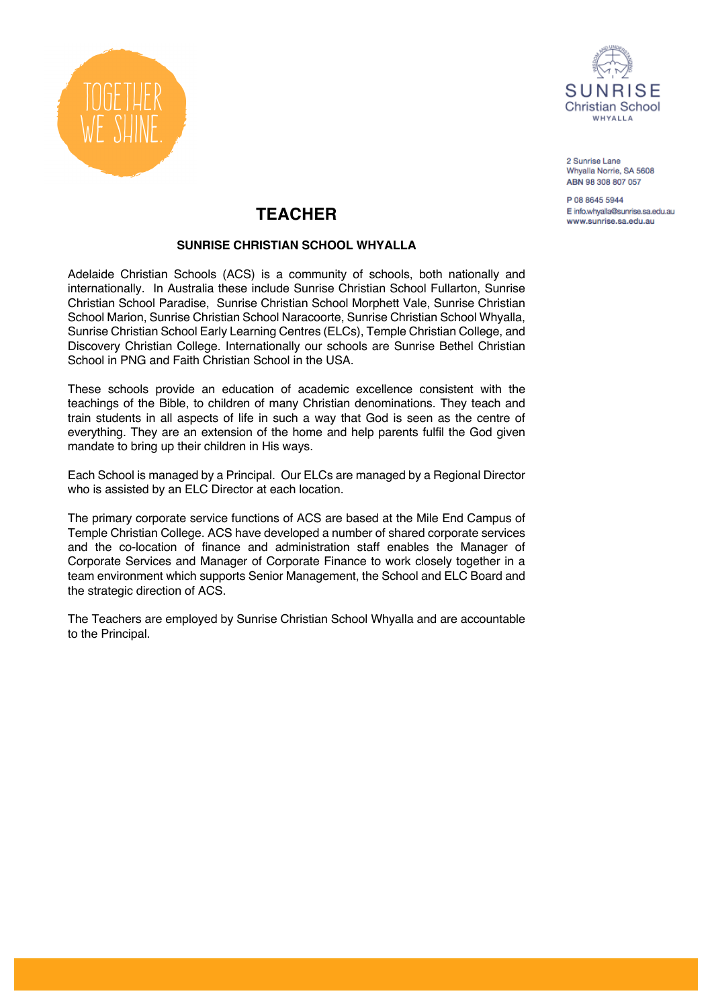



P 08 8645 5944 E info.whyalla@sunrise.sa.edu.au www.sunrise.sa.edu.au

# **TEACHER**

### **SUNRISE CHRISTIAN SCHOOL WHYALLA**

Adelaide Christian Schools (ACS) is a community of schools, both nationally and internationally. In Australia these include Sunrise Christian School Fullarton, Sunrise Christian School Paradise, Sunrise Christian School Morphett Vale, Sunrise Christian School Marion, Sunrise Christian School Naracoorte, Sunrise Christian School Whyalla, Sunrise Christian School Early Learning Centres (ELCs), Temple Christian College, and Discovery Christian College. Internationally our schools are Sunrise Bethel Christian School in PNG and Faith Christian School in the USA.

These schools provide an education of academic excellence consistent with the teachings of the Bible, to children of many Christian denominations. They teach and train students in all aspects of life in such a way that God is seen as the centre of everything. They are an extension of the home and help parents fulfil the God given mandate to bring up their children in His ways.

Each School is managed by a Principal. Our ELCs are managed by a Regional Director who is assisted by an ELC Director at each location.

The primary corporate service functions of ACS are based at the Mile End Campus of Temple Christian College. ACS have developed a number of shared corporate services and the co-location of finance and administration staff enables the Manager of Corporate Services and Manager of Corporate Finance to work closely together in a team environment which supports Senior Management, the School and ELC Board and the strategic direction of ACS.

The Teachers are employed by Sunrise Christian School Whyalla and are accountable to the Principal.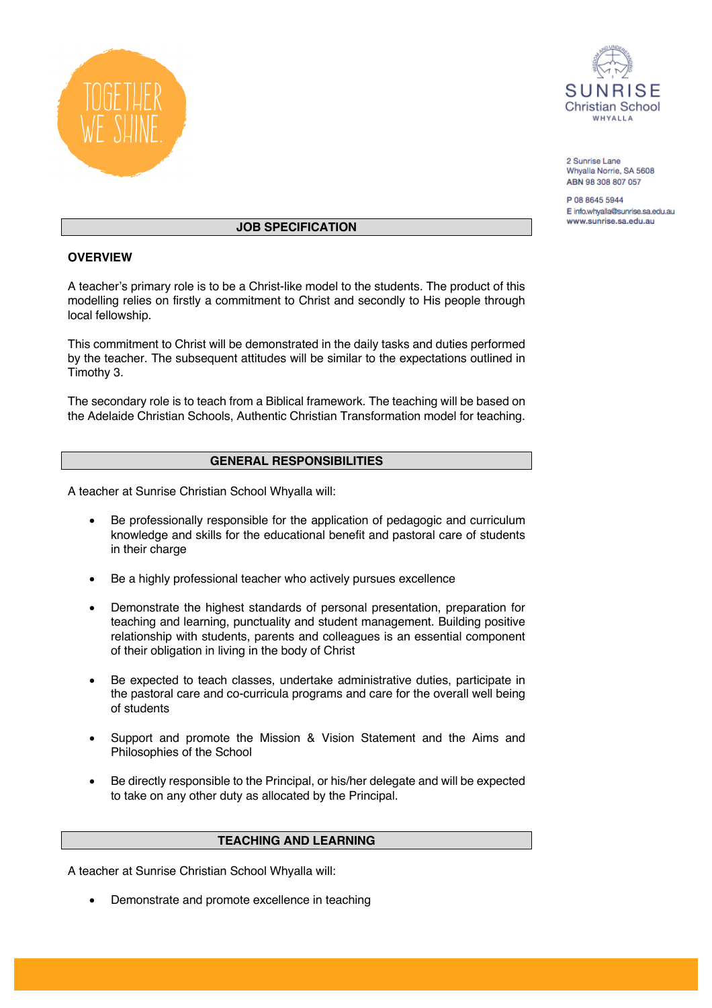



P 08 8645 5944 E info.whyalla@sunrise.sa.edu.au www.sunrise.sa.edu.au

#### **JOB SPECIFICATION**

#### **OVERVIEW**

A teacher's primary role is to be a Christ-like model to the students. The product of this modelling relies on firstly a commitment to Christ and secondly to His people through local fellowship.

This commitment to Christ will be demonstrated in the daily tasks and duties performed by the teacher. The subsequent attitudes will be similar to the expectations outlined in Timothy 3.

The secondary role is to teach from a Biblical framework. The teaching will be based on the Adelaide Christian Schools, Authentic Christian Transformation model for teaching.

#### **GENERAL RESPONSIBILITIES**

A teacher at Sunrise Christian School Whyalla will:

- Be professionally responsible for the application of pedagogic and curriculum knowledge and skills for the educational benefit and pastoral care of students in their charge
- Be a highly professional teacher who actively pursues excellence
- Demonstrate the highest standards of personal presentation, preparation for teaching and learning, punctuality and student management. Building positive relationship with students, parents and colleagues is an essential component of their obligation in living in the body of Christ
- Be expected to teach classes, undertake administrative duties, participate in the pastoral care and co-curricula programs and care for the overall well being of students
- Support and promote the Mission & Vision Statement and the Aims and Philosophies of the School
- Be directly responsible to the Principal, or his/her delegate and will be expected to take on any other duty as allocated by the Principal.

#### **TEACHING AND LEARNING**

A teacher at Sunrise Christian School Whyalla will:

• Demonstrate and promote excellence in teaching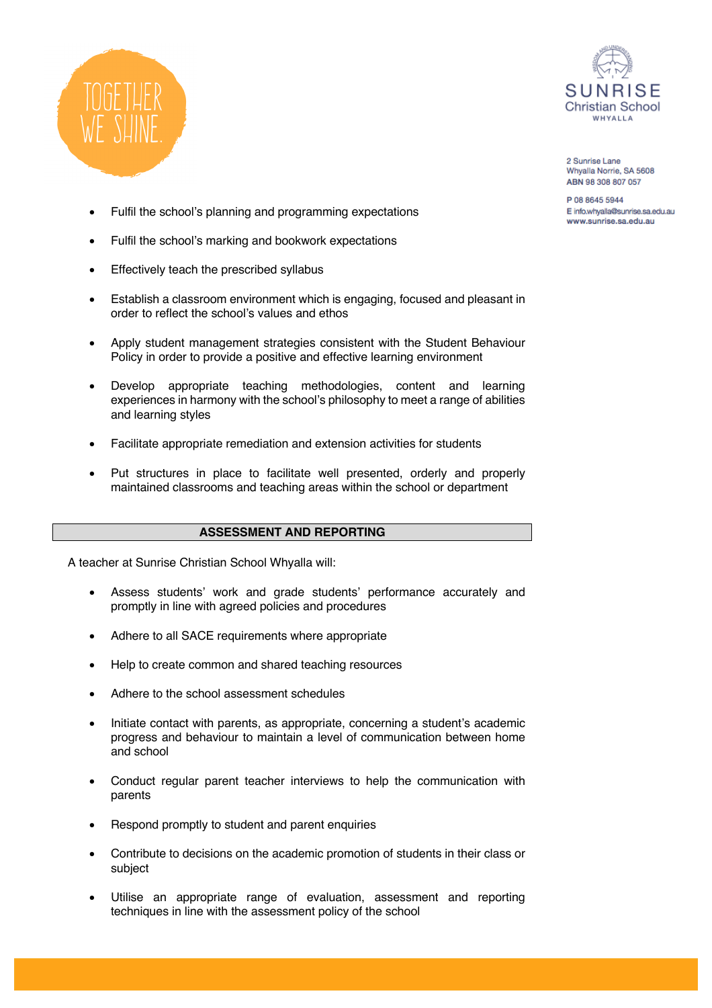



P 08 8645 5944 E info.whyalla@sunrise.sa.edu.au www.sunrise.sa.edu.au

- Fulfil the school's planning and programming expectations
- Fulfil the school's marking and bookwork expectations
- Effectively teach the prescribed syllabus
- Establish a classroom environment which is engaging, focused and pleasant in order to reflect the school's values and ethos
- Apply student management strategies consistent with the Student Behaviour Policy in order to provide a positive and effective learning environment
- Develop appropriate teaching methodologies, content and learning experiences in harmony with the school's philosophy to meet a range of abilities and learning styles
- Facilitate appropriate remediation and extension activities for students
- Put structures in place to facilitate well presented, orderly and properly maintained classrooms and teaching areas within the school or department

#### **ASSESSMENT AND REPORTING**

A teacher at Sunrise Christian School Whyalla will:

- Assess students' work and grade students' performance accurately and promptly in line with agreed policies and procedures
- Adhere to all SACE requirements where appropriate
- Help to create common and shared teaching resources
- Adhere to the school assessment schedules
- Initiate contact with parents, as appropriate, concerning a student's academic progress and behaviour to maintain a level of communication between home and school
- Conduct regular parent teacher interviews to help the communication with parents
- Respond promptly to student and parent enquiries
- Contribute to decisions on the academic promotion of students in their class or subject
- Utilise an appropriate range of evaluation, assessment and reporting techniques in line with the assessment policy of the school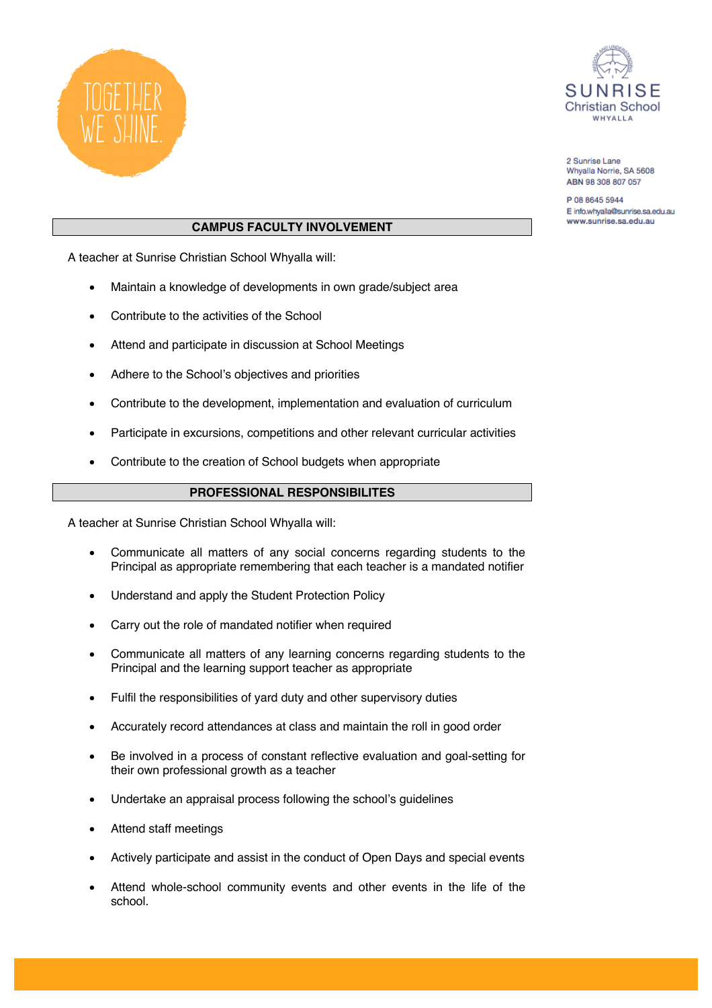



P 08 8645 5944 E info.whyalla@sunrise.sa.edu.au www.sunrise.sa.edu.au

## **CAMPUS FACULTY INVOLVEMENT**

A teacher at Sunrise Christian School Whyalla will:

- Maintain a knowledge of developments in own grade/subject area
- Contribute to the activities of the School
- Attend and participate in discussion at School Meetings
- Adhere to the School's objectives and priorities
- Contribute to the development, implementation and evaluation of curriculum
- Participate in excursions, competitions and other relevant curricular activities
- Contribute to the creation of School budgets when appropriate

## **PROFESSIONAL RESPONSIBILITES**

A teacher at Sunrise Christian School Whyalla will:

- Communicate all matters of any social concerns regarding students to the Principal as appropriate remembering that each teacher is a mandated notifier
- Understand and apply the Student Protection Policy
- Carry out the role of mandated notifier when required
- Communicate all matters of any learning concerns regarding students to the Principal and the learning support teacher as appropriate
- Fulfil the responsibilities of yard duty and other supervisory duties
- Accurately record attendances at class and maintain the roll in good order
- Be involved in a process of constant reflective evaluation and goal-setting for their own professional growth as a teacher
- Undertake an appraisal process following the school's guidelines
- Attend staff meetings
- Actively participate and assist in the conduct of Open Days and special events
- Attend whole-school community events and other events in the life of the school.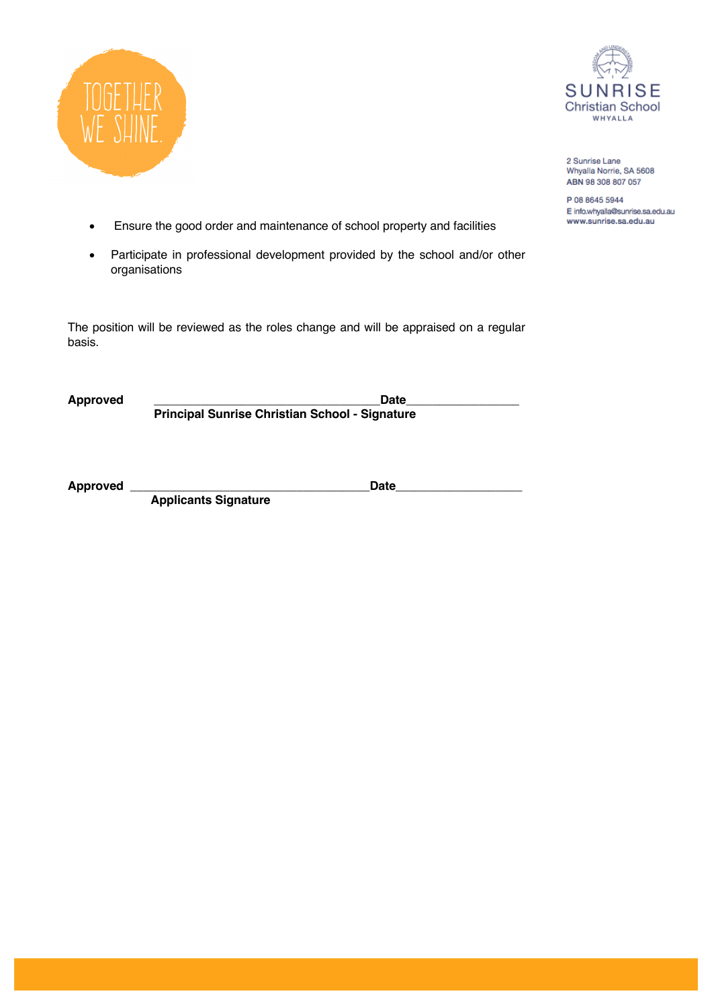



P 08 8645 5944 E info.whyalla@sunrise.sa.edu.au www.sunrise.sa.edu.au

- Ensure the good order and maintenance of school property and facilities
- Participate in professional development provided by the school and/or other organisations

The position will be reviewed as the roles change and will be appraised on a regular basis.

Approved Date  **Principal Sunrise Christian School - Signature**

**Approved \_\_\_\_\_\_\_\_\_\_\_\_\_\_\_\_\_\_\_\_\_\_\_\_\_\_\_\_\_\_\_\_\_\_\_\_Date\_\_\_\_\_\_\_\_\_\_\_\_\_\_\_\_\_\_\_**

**Applicants Signature**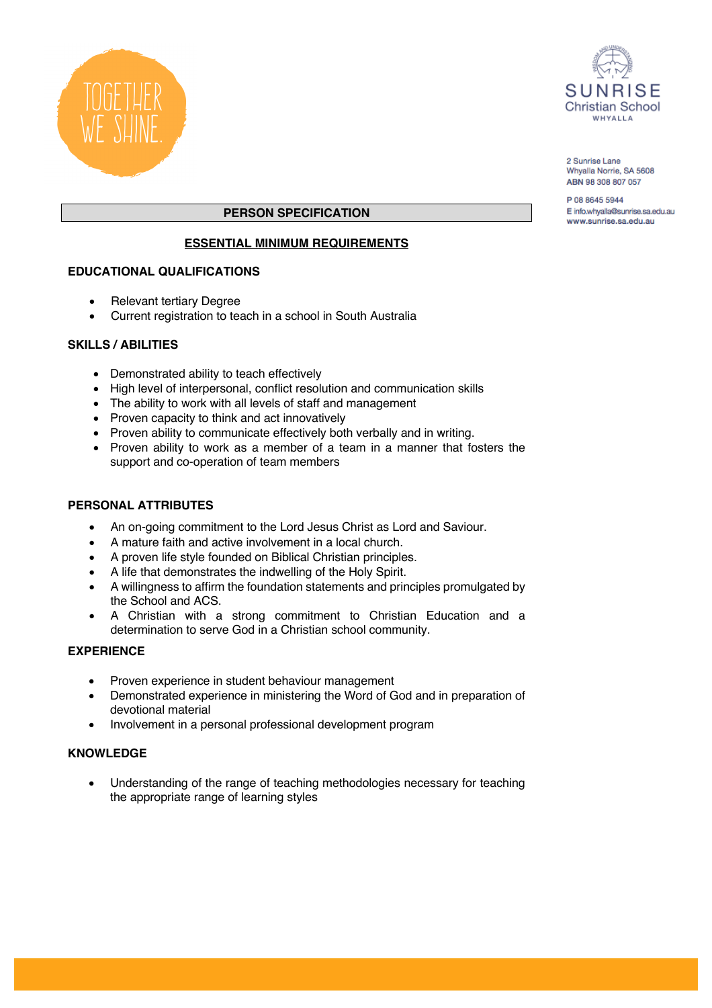



P 08 8645 5944 E info.whyalla@sunrise.sa.edu.au www.sunrise.sa.edu.au

# **PERSON SPECIFICATION**

## **ESSENTIAL MINIMUM REQUIREMENTS**

### **EDUCATIONAL QUALIFICATIONS**

- Relevant tertiary Degree
- Current registration to teach in a school in South Australia

### **SKILLS / ABILITIES**

- Demonstrated ability to teach effectively
- High level of interpersonal, conflict resolution and communication skills
- The ability to work with all levels of staff and management
- Proven capacity to think and act innovatively
- Proven ability to communicate effectively both verbally and in writing.
- Proven ability to work as a member of a team in a manner that fosters the support and co-operation of team members

## **PERSONAL ATTRIBUTES**

- An on-going commitment to the Lord Jesus Christ as Lord and Saviour.
- A mature faith and active involvement in a local church.
- A proven life style founded on Biblical Christian principles.
- A life that demonstrates the indwelling of the Holy Spirit.
- A willingness to affirm the foundation statements and principles promulgated by the School and ACS.
- A Christian with a strong commitment to Christian Education and a determination to serve God in a Christian school community.

#### **EXPERIENCE**

- Proven experience in student behaviour management
- Demonstrated experience in ministering the Word of God and in preparation of devotional material
- Involvement in a personal professional development program

#### **KNOWLEDGE**

• Understanding of the range of teaching methodologies necessary for teaching the appropriate range of learning styles